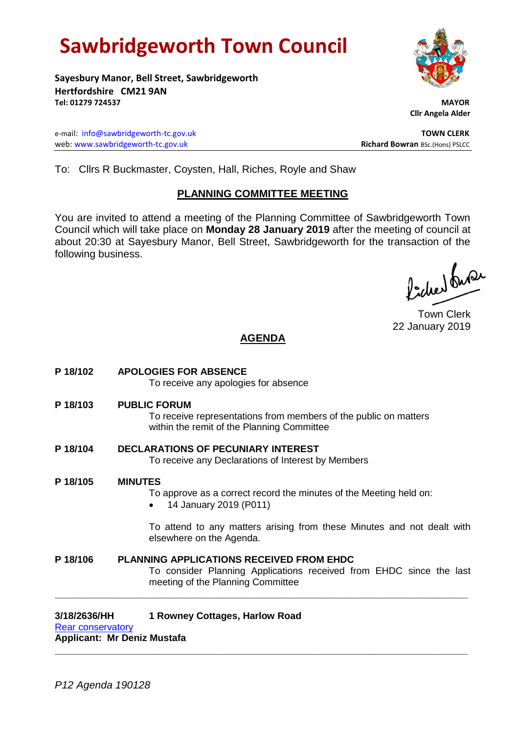# **Sawbridgeworth Town Council**

**Sayesbury Manor, Bell Street, Sawbridgeworth Hertfordshire CM21 9AN Tel: 01279 724537 MAYOR**

e-mail: [info@sawbridgeworth-tc.gov.uk](mailto:info@sawbridgeworth-tc.gov.uk) **TOWN CLERK** web: www.sawbridgeworth-tc.gov.uk<br> **Richard Bowran** BSc.(Hons) PSLCC

 **Cllr Angela Alder**

To: Cllrs R Buckmaster, Coysten, Hall, Riches, Royle and Shaw

## **PLANNING COMMITTEE MEETING**

You are invited to attend a meeting of the Planning Committee of Sawbridgeworth Town Council which will take place on **Monday 28 January 2019** after the meeting of council at about 20:30 at Sayesbury Manor, Bell Street, Sawbridgeworth for the transaction of the following business.

Picked fuse

Town Clerk 22 January 2019

## **AGENDA**

- **P 18/102 APOLOGIES FOR ABSENCE** To receive any apologies for absence **P 18/103 PUBLIC FORUM** To receive representations from members of the public on matters within the remit of the Planning Committee **P 18/104 DECLARATIONS OF PECUNIARY INTEREST** To receive any Declarations of Interest by Members **P 18/105 MINUTES** To approve as a correct record the minutes of the Meeting held on: 14 January 2019 (P011) To attend to any matters arising from these Minutes and not dealt with elsewhere on the Agenda. **P 18/106 PLANNING APPLICATIONS RECEIVED FROM EHDC**
- To consider Planning Applications received from EHDC since the last meeting of the Planning Committee **\_\_\_\_\_\_\_\_\_\_\_\_\_\_\_\_\_\_\_\_\_\_\_\_\_\_\_\_\_\_\_\_\_\_\_\_\_\_\_\_\_\_\_\_\_\_\_\_\_\_\_\_\_\_\_\_\_\_\_\_\_\_\_\_\_\_\_\_\_\_\_**

**\_\_\_\_\_\_\_\_\_\_\_\_\_\_\_\_\_\_\_\_\_\_\_\_\_\_\_\_\_\_\_\_\_\_\_\_\_\_\_\_\_\_\_\_\_\_\_\_\_\_\_\_\_\_\_\_\_\_\_\_\_\_\_\_\_\_\_\_\_\_\_**

## **3/18/2636/HH 1 Rowney Cottages, Harlow Road**

[Rear conservatory](https://publicaccess.eastherts.gov.uk/online-applications/applicationDetails.do?activeTab=documents&keyVal=PJ09EHGLH1P00) **Applicant: Mr Deniz Mustafa**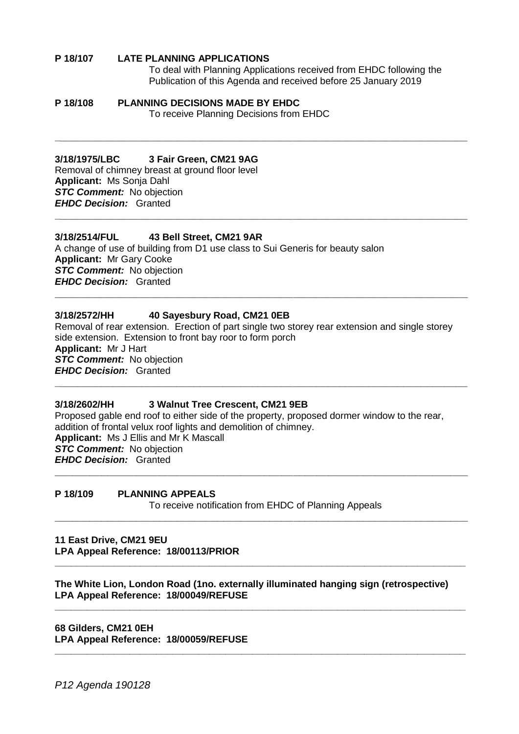## **P 18/107 LATE PLANNING APPLICATIONS**

To deal with Planning Applications received from EHDC following the Publication of this Agenda and received before 25 January 2019

#### **P 18/108 PLANNING DECISIONS MADE BY EHDC** To receive Planning Decisions from EHDC

## **3/18/1975/LBC 3 Fair Green, CM21 9AG**

Removal of chimney breast at ground floor level **Applicant:** Ms Sonja Dahl *STC Comment:* No objection *EHDC Decision:* Granted

## **3/18/2514/FUL 43 Bell Street, CM21 9AR**

A change of use of building from D1 use class to Sui Generis for beauty salon **Applicant:** Mr Gary Cooke *STC Comment:* No objection *EHDC Decision:* Granted **\_\_\_\_\_\_\_\_\_\_\_\_\_\_\_\_\_\_\_\_\_\_\_\_\_\_\_\_\_\_\_\_\_\_\_\_\_\_\_\_\_\_\_\_\_\_\_\_\_\_\_\_\_\_\_\_\_\_\_\_\_\_\_\_\_\_\_\_\_\_\_**

## **3/18/2572/HH 40 Sayesbury Road, CM21 0EB**

Removal of rear extension. Erection of part single two storey rear extension and single storey side extension. Extension to front bay roor to form porch **Applicant:** Mr J Hart *STC Comment:* No objection *EHDC Decision:* Granted **\_\_\_\_\_\_\_\_\_\_\_\_\_\_\_\_\_\_\_\_\_\_\_\_\_\_\_\_\_\_\_\_\_\_\_\_\_\_\_\_\_\_\_\_\_\_\_\_\_\_\_\_\_\_\_\_\_\_\_\_\_\_\_\_\_\_\_\_\_\_\_**

**\_\_\_\_\_\_\_\_\_\_\_\_\_\_\_\_\_\_\_\_\_\_\_\_\_\_\_\_\_\_\_\_\_\_\_\_\_\_\_\_\_\_\_\_\_\_\_\_\_\_\_\_\_\_\_\_\_\_\_\_\_\_\_\_\_\_\_\_\_\_\_**

**\_\_\_\_\_\_\_\_\_\_\_\_\_\_\_\_\_\_\_\_\_\_\_\_\_\_\_\_\_\_\_\_\_\_\_\_\_\_\_\_\_\_\_\_\_\_\_\_\_\_\_\_\_\_\_\_\_\_\_\_\_\_\_\_\_\_\_\_\_\_\_**

#### **3/18/2602/HH 3 Walnut Tree Crescent, CM21 9EB**

Proposed gable end roof to either side of the property, proposed dormer window to the rear, addition of frontal velux roof lights and demolition of chimney. **Applicant:** Ms J Ellis and Mr K Mascall *STC Comment:* No objection *EHDC Decision:* Granted

## **P 18/109 PLANNING APPEALS**

To receive notification from EHDC of Planning Appeals

**\_\_\_\_\_\_\_\_\_\_\_\_\_\_\_\_\_\_\_\_\_\_\_\_\_\_\_\_\_\_\_\_\_\_\_\_\_\_\_\_\_\_\_\_\_\_\_\_\_\_\_\_\_\_\_\_\_\_\_\_\_\_\_\_\_\_\_\_\_\_\_**

**\_\_\_\_\_\_\_\_\_\_\_\_\_\_\_\_\_\_\_\_\_\_\_\_\_\_\_\_\_\_\_\_\_\_\_\_\_\_\_\_\_\_\_\_\_\_\_\_\_\_\_\_\_\_\_\_\_\_\_\_\_\_\_\_\_\_\_\_\_\_\_\_\_\_\_\_\_**

**\_\_\_\_\_\_\_\_\_\_\_\_\_\_\_\_\_\_\_\_\_\_\_\_\_\_\_\_\_\_\_\_\_\_\_\_\_\_\_\_\_\_\_\_\_\_\_\_\_\_\_\_\_\_\_\_\_\_\_\_\_\_\_\_\_\_\_\_\_\_\_\_\_\_\_\_\_**

**\_\_\_\_\_\_\_\_\_\_\_\_\_\_\_\_\_\_\_\_\_\_\_\_\_\_\_\_\_\_\_\_\_\_\_\_\_\_\_\_\_\_\_\_\_\_\_\_\_\_\_\_\_\_\_\_\_\_\_\_\_\_\_\_\_\_\_\_\_\_\_\_\_\_\_\_\_**

**\_\_\_\_\_\_\_\_\_\_\_\_\_\_\_\_\_\_\_\_\_\_\_\_\_\_\_\_\_\_\_\_\_\_\_\_\_\_\_\_\_\_\_\_\_\_\_\_\_\_\_\_\_\_\_\_\_\_\_\_\_\_\_\_\_\_\_\_\_\_\_**

**11 East Drive, CM21 9EU LPA Appeal Reference: 18/00113/PRIOR**

**The White Lion, London Road (1no. externally illuminated hanging sign (retrospective) LPA Appeal Reference: 18/00049/REFUSE**

**68 Gilders, CM21 0EH LPA Appeal Reference: 18/00059/REFUSE**

*P12 Agenda 190128*